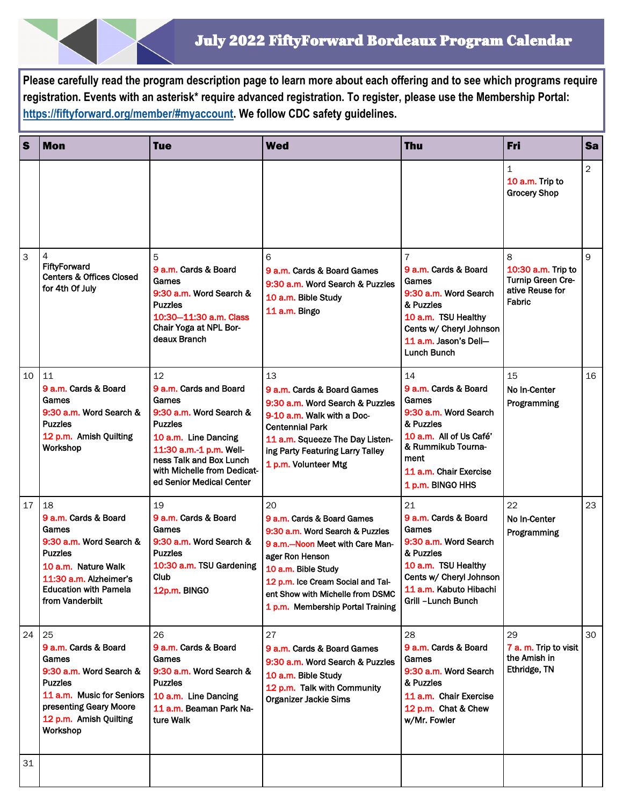**Please carefully read the program description page to learn more about each offering and to see which programs require registration. Events with an asterisk\* require advanced registration. To register, please use the Membership Portal: [https://fiftyforward.org/member/#myaccount.](https://fiftyforward.org/member/#myaccount) We follow CDC safety guidelines.** 

| $\vert$ s      | <b>Mon</b>                                                                                                                                                                           | <b>Tue</b>                                                                                                                                                                                                                  | <b>Wed</b>                                                                                                                                                                                                                                                     | Thu                                                                                                                                                                              | Fri                                                                       | Sa             |
|----------------|--------------------------------------------------------------------------------------------------------------------------------------------------------------------------------------|-----------------------------------------------------------------------------------------------------------------------------------------------------------------------------------------------------------------------------|----------------------------------------------------------------------------------------------------------------------------------------------------------------------------------------------------------------------------------------------------------------|----------------------------------------------------------------------------------------------------------------------------------------------------------------------------------|---------------------------------------------------------------------------|----------------|
|                |                                                                                                                                                                                      |                                                                                                                                                                                                                             |                                                                                                                                                                                                                                                                |                                                                                                                                                                                  | $\mathbf{1}$<br>10 a.m. Trip to<br><b>Grocery Shop</b>                    | $\overline{2}$ |
| $\overline{3}$ | <b>FiftyForward</b><br><b>Centers &amp; Offices Closed</b><br>for 4th Of July                                                                                                        | 5<br>9 a.m. Cards & Board<br>Games<br>9:30 a.m. Word Search &<br><b>Puzzles</b><br>10:30-11:30 a.m. Class<br>Chair Yoga at NPL Bor-<br>deaux Branch                                                                         | 6<br>9 a.m. Cards & Board Games<br>9:30 a.m. Word Search & Puzzles<br>10 a.m. Bible Study<br>11 a.m. Bingo                                                                                                                                                     | 7<br>9 a.m. Cards & Board<br>Games<br>9:30 a.m. Word Search<br>& Puzzles<br>10 a.m. TSU Healthy<br>Cents w/ Cheryl Johnson<br>11 a.m. Jason's Deli-<br><b>Lunch Bunch</b>        | 8<br>10:30 a.m. Trip to<br>Turnip Green Cre-<br>ative Reuse for<br>Fabric | 9              |
| 10             | 11<br>9 a.m. Cards & Board<br>Games<br>9:30 a.m. Word Search &<br><b>Puzzles</b><br>12 p.m. Amish Quilting<br>Workshop                                                               | 12<br>9 a.m. Cards and Board<br>Games<br>9:30 a.m. Word Search &<br><b>Puzzles</b><br>10 a.m. Line Dancing<br>11:30 a.m.-1 p.m. Well-<br>ness Talk and Box Lunch<br>with Michelle from Dedicat-<br>ed Senior Medical Center | 13<br>9 a.m. Cards & Board Games<br>9:30 a.m. Word Search & Puzzles<br>9-10 a.m. Walk with a Doc-<br><b>Centennial Park</b><br>11 a.m. Squeeze The Day Listen-<br>ing Party Featuring Larry Talley<br>1 p.m. Volunteer Mtg                                     | 14<br>9 a.m. Cards & Board<br>Games<br>9:30 a.m. Word Search<br>& Puzzles<br>10 a.m. All of Us Café'<br>& Rummikub Tourna-<br>ment<br>11 a.m. Chair Exercise<br>1 p.m. BINGO HHS | 15<br>No In-Center<br>Programming                                         | 16             |
| 17             | 18<br>9 a.m. Cards & Board<br>Games<br>9:30 a.m. Word Search &<br><b>Puzzles</b><br>10 a.m. Nature Walk<br>11:30 a.m. Alzheimer's<br><b>Education with Pamela</b><br>from Vanderbilt | 19<br>9 a.m. Cards & Board<br>Games<br>9:30 a.m. Word Search &<br><b>Puzzles</b><br>10:30 a.m. TSU Gardening<br>Club<br>12p.m. BINGO                                                                                        | 20<br>9 a.m. Cards & Board Games<br>9:30 a.m. Word Search & Puzzles<br>9 a.m.-Noon Meet with Care Man-<br>ager Ron Henson<br>10 a.m. Bible Study<br>12 p.m. Ice Cream Social and Tal-<br>ent Show with Michelle from DSMC<br>1 p.m. Membership Portal Training | 21<br>9 a.m. Cards & Board<br>Games<br>9:30 a.m. Word Search<br>& Puzzles<br>10 a.m. TSU Healthy<br>Cents w/ Cheryl Johnson<br>11 a.m. Kabuto Hibachi<br>Grill -Lunch Bunch      | 22<br>No In-Center<br>Programming                                         | 23             |
| 24             | 25<br>9 a.m. Cards & Board<br>Games<br>9:30 a.m. Word Search &<br><b>Puzzles</b><br>11 a.m. Music for Seniors<br>presenting Geary Moore<br>12 p.m. Amish Quilting<br>Workshop        | 26<br>9 a.m. Cards & Board<br>Games<br>9:30 a.m. Word Search &<br><b>Puzzles</b><br>10 a.m. Line Dancing<br>11 a.m. Beaman Park Na-<br>ture Walk                                                                            | 27<br>9 a.m. Cards & Board Games<br>9:30 a.m. Word Search & Puzzles<br>10 a.m. Bible Study<br>12 p.m. Talk with Community<br>Organizer Jackie Sims                                                                                                             | 28<br>9 a.m. Cards & Board<br>Games<br>9:30 a.m. Word Search<br>& Puzzles<br>11 a.m. Chair Exercise<br>12 p.m. Chat & Chew<br>w/Mr. Fowler                                       | 29<br>7 a. m. Trip to visit<br>the Amish in<br>Ethridge, TN               | 30             |
| 31             |                                                                                                                                                                                      |                                                                                                                                                                                                                             |                                                                                                                                                                                                                                                                |                                                                                                                                                                                  |                                                                           |                |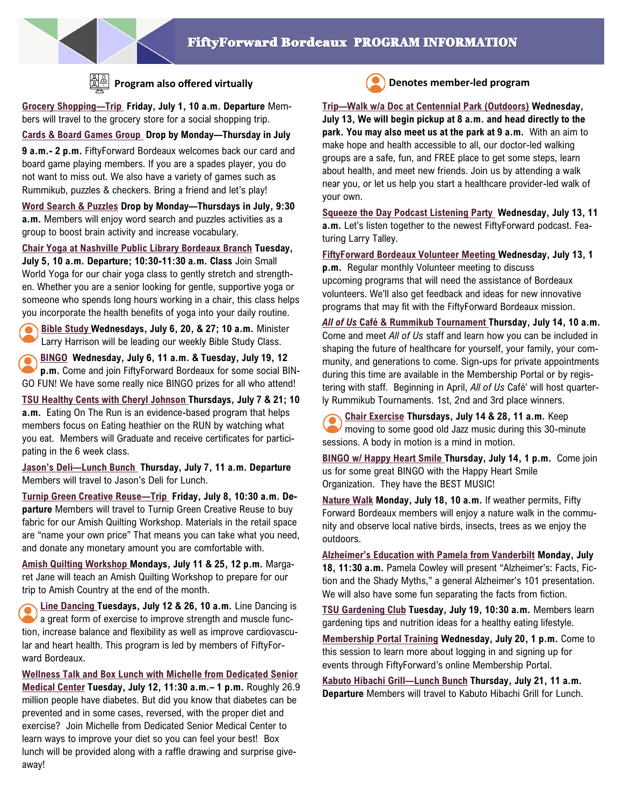

## **Program also offered virtually Denotes member-led program**

**Grocery Shopping—Trip Friday, July 1, 10 a.m. Departure** Members will travel to the grocery store for a social shopping trip.

**Cards & Board Games Group Drop by Monday—Thursday in July** 

**9 a.m.- 2 p.m.** FiftyForward Bordeaux welcomes back our card and board game playing members. If you are a spades player, you do not want to miss out. We also have a variety of games such as Rummikub, puzzles & checkers. Bring a friend and let's play!

**Word Search & Puzzles Drop by Monday—Thursdays in July, 9:30 a.m.** Members will enjoy word search and puzzles activities as a group to boost brain activity and increase vocabulary.

**Chair Yoga at Nashville Public Library Bordeaux Branch Tuesday, July 5, 10 a.m. Departure; 10:30-11:30 a.m. Class** Join Small World Yoga for our chair yoga class to gently stretch and strengthen. Whether you are a senior looking for gentle, supportive yoga or someone who spends long hours working in a chair, this class helps you incorporate the health benefits of yoga into your daily routine.

**Bible Study Wednesdays, July 6, 20, & 27; 10 a.m.** Minister Larry Harrison will be leading our weekly Bible Study Class.

**BINGO Wednesday, July 6, 11 a.m. & Tuesday, July 19, 12 p.m.** Come and join FiftyForward Bordeaux for some social BIN-GO FUN! We have some really nice BINGO prizes for all who attend!

**TSU Healthy Cents with Cheryl Johnson Thursdays, July 7 & 21; 10 a.m.** Eating On The Run is an evidence-based program that helps members focus on Eating heathier on the RUN by watching what you eat. Members will Graduate and receive certificates for participating in the 6 week class.

**Jason's Deli—Lunch Bunch Thursday, July 7, 11 a.m. Departure**  Members will travel to Jason's Deli for Lunch.

**Turnip Green Creative Reuse—Trip Friday, July 8, 10:30 a.m. Departure** Members will travel to Turnip Green Creative Reuse to buy fabric for our Amish Quilting Workshop. Materials in the retail space are "name your own price" That means you can take what you need, and donate any monetary amount you are comfortable with.

**Amish Quilting Workshop Mondays, July 11 & 25, 12 p.m.** Margaret Jane will teach an Amish Quilting Workshop to prepare for our trip to Amish Country at the end of the month.

**Line Dancing Tuesdays, July 12 & 26, 10 a.m.** Line Dancing is a great form of exercise to improve strength and muscle function, increase balance and flexibility as well as improve cardiovascular and heart health. This program is led by members of FiftyForward Bordeaux.

**Wellness Talk and Box Lunch with Michelle from Dedicated Senior Medical Center Tuesday, July 12, 11:30 a.m.– 1 p.m.** Roughly 26.9 million people have diabetes. But did you know that diabetes can be prevented and in some cases, reversed, with the proper diet and exercise? Join Michelle from Dedicated Senior Medical Center to learn ways to improve your diet so you can feel your best! Box lunch will be provided along with a raffle drawing and surprise giveaway!



**Trip—Walk w/a Doc at Centennial Park (Outdoors) Wednesday, July 13, We will begin pickup at 8 a.m. and head directly to the park. You may also meet us at the park at 9 a.m.** With an aim to make hope and health accessible to all, our doctor-led walking groups are a safe, fun, and FREE place to get some steps, learn about health, and meet new friends. Join us by attending a walk near you, or let us help you start a healthcare provider-led walk of your own.

**Squeeze the Day Podcast Listening Party Wednesday, July 13, 11 a.m.** Let's listen together to the newest FiftyForward podcast. Featuring Larry Talley.

**FiftyForward Bordeaux Volunteer Meeting Wednesday, July 13, 1 p.m.** Regular monthly Volunteer meeting to discuss upcoming programs that will need the assistance of Bordeaux volunteers. We'll also get feedback and ideas for new innovative programs that may fit with the FiftyForward Bordeaux mission.

*All of Us* **Café & Rummikub Tournament Thursday, July 14, 10 a.m.**  Come and meet *All of Us* staff and learn how you can be included in shaping the future of healthcare for yourself, your family, your community, and generations to come. Sign-ups for private appointments during this time are available in the Membership Portal or by registering with staff. Beginning in April, *All of Us* Café' will host quarterly Rummikub Tournaments. 1st, 2nd and 3rd place winners.

**Chair Exercise Thursdays, July 14 & 28, 11 a.m.** Keep moving to some good old Jazz music during this 30-minute sessions. A body in motion is a mind in motion.

**BINGO w/ Happy Heart Smile Thursday, July 14, 1 p.m.** Come join us for some great BINGO with the Happy Heart Smile Organization. They have the BEST MUSIC!

**Nature Walk Monday, July 18, 10 a.m.** If weather permits, Fifty Forward Bordeaux members will enjoy a nature walk in the community and observe local native birds, insects, trees as we enjoy the outdoors.

**Alzheimer's Education with Pamela from Vanderbilt Monday, July 18, 11:30 a.m.** Pamela Cowley will present "Alzheimer's: Facts, Fiction and the Shady Myths," a general Alzheimer's 101 presentation. We will also have some fun separating the facts from fiction.

**TSU Gardening Club Tuesday, July 19, 10:30 a.m.** Members learn gardening tips and nutrition ideas for a healthy eating lifestyle.

**Membership Portal Training Wednesday, July 20, 1 p.m.** Come to this session to learn more about logging in and signing up for events through FiftyForward's online Membership Portal.

**Kabuto Hibachi Grill—Lunch Bunch Thursday, July 21, 11 a.m. Departure** Members will travel to Kabuto Hibachi Grill for Lunch.